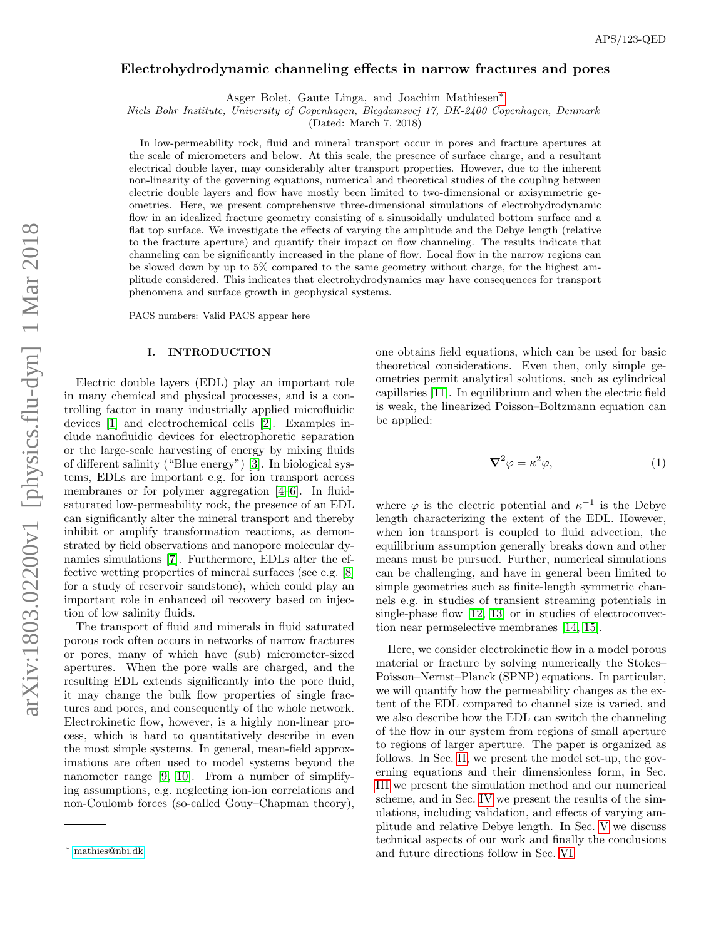# Electrohydrodynamic channeling effects in narrow fractures and pores

Asger Bolet, Gaute Linga, and Joachim Mathiesen[∗](#page-0-0)

Niels Bohr Institute, University of Copenhagen, Blegdamsvej 17, DK-2400 Copenhagen, Denmark

(Dated: March 7, 2018)

In low-permeability rock, fluid and mineral transport occur in pores and fracture apertures at the scale of micrometers and below. At this scale, the presence of surface charge, and a resultant electrical double layer, may considerably alter transport properties. However, due to the inherent non-linearity of the governing equations, numerical and theoretical studies of the coupling between electric double layers and flow have mostly been limited to two-dimensional or axisymmetric geometries. Here, we present comprehensive three-dimensional simulations of electrohydrodynamic flow in an idealized fracture geometry consisting of a sinusoidally undulated bottom surface and a flat top surface. We investigate the effects of varying the amplitude and the Debye length (relative to the fracture aperture) and quantify their impact on flow channeling. The results indicate that channeling can be significantly increased in the plane of flow. Local flow in the narrow regions can be slowed down by up to 5% compared to the same geometry without charge, for the highest amplitude considered. This indicates that electrohydrodynamics may have consequences for transport phenomena and surface growth in geophysical systems.

PACS numbers: Valid PACS appear here

# I. INTRODUCTION

Electric double layers (EDL) play an important role in many chemical and physical processes, and is a controlling factor in many industrially applied microfluidic devices [\[1\]](#page-10-0) and electrochemical cells [\[2\]](#page-10-1). Examples include nanofluidic devices for electrophoretic separation or the large-scale harvesting of energy by mixing fluids of different salinity ("Blue energy") [\[3\]](#page-10-2). In biological systems, EDLs are important e.g. for ion transport across membranes or for polymer aggregation [\[4–](#page-10-3)[6\]](#page-10-4). In fluidsaturated low-permeability rock, the presence of an EDL can significantly alter the mineral transport and thereby inhibit or amplify transformation reactions, as demonstrated by field observations and nanopore molecular dynamics simulations [\[7\]](#page-10-5). Furthermore, EDLs alter the effective wetting properties of mineral surfaces (see e.g. [\[8\]](#page-10-6) for a study of reservoir sandstone), which could play an important role in enhanced oil recovery based on injection of low salinity fluids.

The transport of fluid and minerals in fluid saturated porous rock often occurs in networks of narrow fractures or pores, many of which have (sub) micrometer-sized apertures. When the pore walls are charged, and the resulting EDL extends significantly into the pore fluid, it may change the bulk flow properties of single fractures and pores, and consequently of the whole network. Electrokinetic flow, however, is a highly non-linear process, which is hard to quantitatively describe in even the most simple systems. In general, mean-field approximations are often used to model systems beyond the nanometer range [\[9,](#page-10-7) [10\]](#page-10-8). From a number of simplifying assumptions, e.g. neglecting ion-ion correlations and non-Coulomb forces (so-called Gouy–Chapman theory),

one obtains field equations, which can be used for basic theoretical considerations. Even then, only simple geometries permit analytical solutions, such as cylindrical capillaries [\[11\]](#page-10-9). In equilibrium and when the electric field is weak, the linearized Poisson–Boltzmann equation can be applied:

<span id="page-0-1"></span>
$$
\nabla^2 \varphi = \kappa^2 \varphi,\tag{1}
$$

where  $\varphi$  is the electric potential and  $\kappa^{-1}$  is the Debye length characterizing the extent of the EDL. However, when ion transport is coupled to fluid advection, the equilibrium assumption generally breaks down and other means must be pursued. Further, numerical simulations can be challenging, and have in general been limited to simple geometries such as finite-length symmetric channels e.g. in studies of transient streaming potentials in single-phase flow [\[12,](#page-10-10) [13\]](#page-11-0) or in studies of electroconvection near permselective membranes [\[14,](#page-11-1) [15\]](#page-11-2).

Here, we consider electrokinetic flow in a model porous material or fracture by solving numerically the Stokes– Poisson–Nernst–Planck (SPNP) equations. In particular, we will quantify how the permeability changes as the extent of the EDL compared to channel size is varied, and we also describe how the EDL can switch the channeling of the flow in our system from regions of small aperture to regions of larger aperture. The paper is organized as follows. In Sec. [II,](#page-1-0) we present the model set-up, the governing equations and their dimensionless form, in Sec. [III](#page-2-0) we present the simulation method and our numerical scheme, and in Sec. [IV](#page-3-0) we present the results of the simulations, including validation, and effects of varying amplitude and relative Debye length. In Sec. [V](#page-7-0) we discuss technical aspects of our work and finally the conclusions and future directions follow in Sec. [VI.](#page-8-0)

<span id="page-0-0"></span><sup>∗</sup> [mathies@nbi.dk](mailto:mathies@nbi.dk)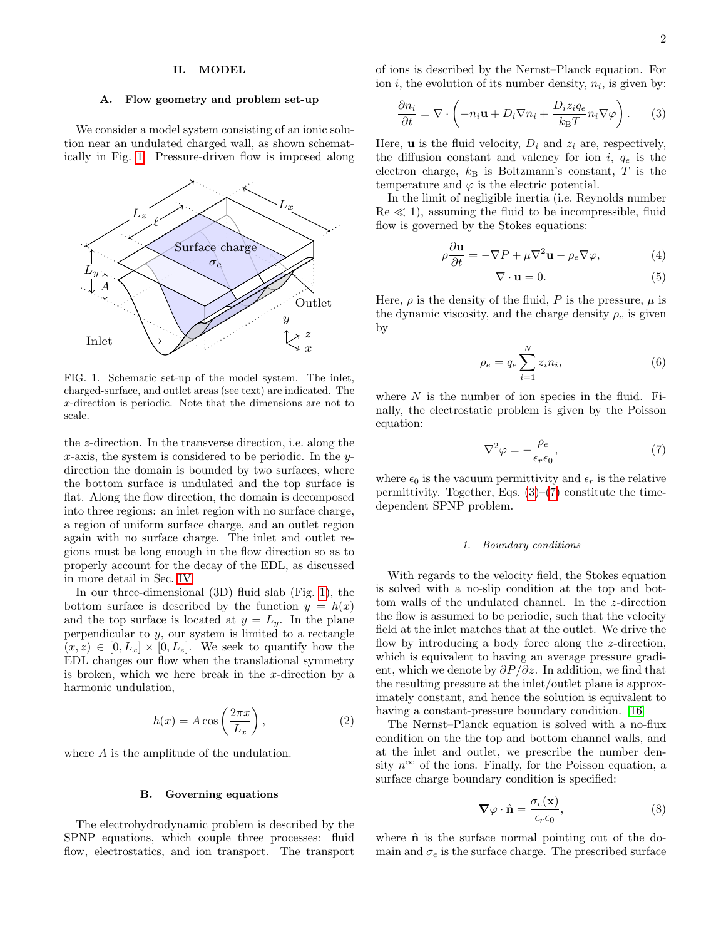## <span id="page-1-0"></span>II. MODEL

#### A. Flow geometry and problem set-up

We consider a model system consisting of an ionic solution near an undulated charged wall, as shown schematically in Fig. [1.](#page-1-1) Pressure-driven flow is imposed along



<span id="page-1-1"></span>FIG. 1. Schematic set-up of the model system. The inlet, charged-surface, and outlet areas (see text) are indicated. The x-direction is periodic. Note that the dimensions are not to scale.

the z-direction. In the transverse direction, i.e. along the x-axis, the system is considered to be periodic. In the  $y$ direction the domain is bounded by two surfaces, where the bottom surface is undulated and the top surface is flat. Along the flow direction, the domain is decomposed into three regions: an inlet region with no surface charge, a region of uniform surface charge, and an outlet region again with no surface charge. The inlet and outlet regions must be long enough in the flow direction so as to properly account for the decay of the EDL, as discussed in more detail in Sec. [IV.](#page-3-0)

In our three-dimensional (3D) fluid slab (Fig. [1\)](#page-1-1), the bottom surface is described by the function  $y = h(x)$ and the top surface is located at  $y = L_y$ . In the plane perpendicular to y, our system is limited to a rectangle  $(x, z) \in [0, L_x] \times [0, L_z]$ . We seek to quantify how the EDL changes our flow when the translational symmetry is broken, which we here break in the x-direction by a harmonic undulation,

$$
h(x) = A\cos\left(\frac{2\pi x}{L_x}\right),\tag{2}
$$

where A is the amplitude of the undulation.

## B. Governing equations

The electrohydrodynamic problem is described by the SPNP equations, which couple three processes: fluid flow, electrostatics, and ion transport. The transport of ions is described by the Nernst–Planck equation. For ion  $i$ , the evolution of its number density,  $n_i$ , is given by:

$$
\frac{\partial n_i}{\partial t} = \nabla \cdot \left( -n_i \mathbf{u} + D_i \nabla n_i + \frac{D_i z_i q_e}{k_B T} n_i \nabla \varphi \right). \tag{3}
$$

Here, **u** is the fluid velocity,  $D_i$  and  $z_i$  are, respectively, the diffusion constant and valency for ion i,  $q_e$  is the electron charge,  $k_B$  is Boltzmann's constant, T is the temperature and  $\varphi$  is the electric potential.

In the limit of negligible inertia (i.e. Reynolds number  $\text{Re} \ll 1$ , assuming the fluid to be incompressible, fluid flow is governed by the Stokes equations:

$$
\rho \frac{\partial \mathbf{u}}{\partial t} = -\nabla P + \mu \nabla^2 \mathbf{u} - \rho_e \nabla \varphi, \tag{4}
$$

<span id="page-1-5"></span><span id="page-1-4"></span><span id="page-1-2"></span>
$$
\nabla \cdot \mathbf{u} = 0. \tag{5}
$$

Here,  $\rho$  is the density of the fluid, P is the pressure,  $\mu$  is the dynamic viscosity, and the charge density  $\rho_e$  is given by

$$
\rho_e = q_e \sum_{i=1}^{N} z_i n_i, \tag{6}
$$

where  $N$  is the number of ion species in the fluid. Finally, the electrostatic problem is given by the Poisson equation:

<span id="page-1-3"></span>
$$
\nabla^2 \varphi = -\frac{\rho_e}{\epsilon_r \epsilon_0},\tag{7}
$$

where  $\epsilon_0$  is the vacuum permittivity and  $\epsilon_r$  is the relative permittivity. Together, Eqs.  $(3)-(7)$  $(3)-(7)$  constitute the timedependent SPNP problem.

#### 1. Boundary conditions

With regards to the velocity field, the Stokes equation is solved with a no-slip condition at the top and bottom walls of the undulated channel. In the z-direction the flow is assumed to be periodic, such that the velocity field at the inlet matches that at the outlet. We drive the flow by introducing a body force along the z-direction, which is equivalent to having an average pressure gradient, which we denote by  $\partial P/\partial z$ . In addition, we find that the resulting pressure at the inlet/outlet plane is approximately constant, and hence the solution is equivalent to having a constant-pressure boundary condition. [\[16\]](#page-11-3)

The Nernst–Planck equation is solved with a no-flux condition on the the top and bottom channel walls, and at the inlet and outlet, we prescribe the number density  $n^{\infty}$  of the ions. Finally, for the Poisson equation, a surface charge boundary condition is specified:

$$
\nabla \varphi \cdot \hat{\mathbf{n}} = \frac{\sigma_e(\mathbf{x})}{\epsilon_r \epsilon_0},\tag{8}
$$

where  $\hat{\bf{n}}$  is the surface normal pointing out of the domain and  $\sigma_e$  is the surface charge. The prescribed surface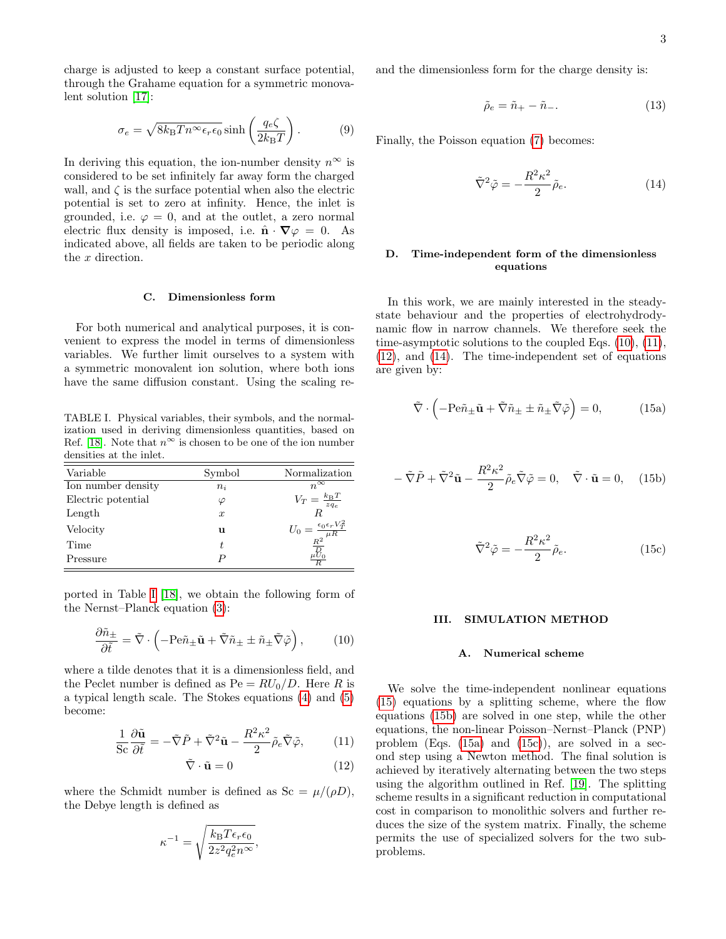charge is adjusted to keep a constant surface potential, through the Grahame equation for a symmetric monovalent solution [\[17\]](#page-11-4):

$$
\sigma_e = \sqrt{8k_B T n^{\infty} \epsilon_r \epsilon_0} \sinh\left(\frac{q_e \zeta}{2k_B T}\right). \tag{9}
$$

In deriving this equation, the ion-number density  $n^{\infty}$  is considered to be set infinitely far away form the charged wall, and  $\zeta$  is the surface potential when also the electric potential is set to zero at infinity. Hence, the inlet is grounded, i.e.  $\varphi = 0$ , and at the outlet, a zero normal electric flux density is imposed, i.e.  $\hat{\mathbf{n}} \cdot \nabla \varphi = 0$ . As indicated above, all fields are taken to be periodic along the x direction.

## C. Dimensionless form

For both numerical and analytical purposes, it is convenient to express the model in terms of dimensionless variables. We further limit ourselves to a system with a symmetric monovalent ion solution, where both ions have the same diffusion constant. Using the scaling re-

<span id="page-2-1"></span>TABLE I. Physical variables, their symbols, and the normalization used in deriving dimensionless quantities, based on Ref. [\[18\]](#page-11-5). Note that  $n^{\infty}$  is chosen to be one of the ion number densities at the inlet.

| Variable           | Symbol           | Normalization                                                                                 |
|--------------------|------------------|-----------------------------------------------------------------------------------------------|
| Ion number density | $n_i$            | $n^{\infty}$                                                                                  |
| Electric potential | $\varphi$        | $V_T = \frac{k_B T}{z q_e}$                                                                   |
| Length             | $\boldsymbol{x}$ | R.                                                                                            |
| Velocity           | u                |                                                                                               |
| Time               | t                |                                                                                               |
| Pressure           |                  | $U_0 = \frac{\epsilon_0 \epsilon_r V_T^2}{\frac{R^2}{\mu R}}$ $\frac{\frac{R^2}{\mu U_0}}{R}$ |

ported in Table [I](#page-2-1) [\[18\]](#page-11-5), we obtain the following form of the Nernst–Planck equation [\(3\)](#page-1-2):

$$
\frac{\partial \tilde{n}_{\pm}}{\partial \tilde{t}} = \tilde{\nabla} \cdot \left( -\text{Pe}\tilde{n}_{\pm}\tilde{\mathbf{u}} + \tilde{\nabla}\tilde{n}_{\pm} \pm \tilde{n}_{\pm}\tilde{\nabla}\tilde{\varphi} \right),\tag{10}
$$

where a tilde denotes that it is a dimensionless field, and the Peclet number is defined as  $Pe = RU_0/D$ . Here R is a typical length scale. The Stokes equations [\(4\)](#page-1-4) and [\(5\)](#page-1-5) become:

$$
\frac{1}{\text{Sc}}\frac{\partial \tilde{\mathbf{u}}}{\partial \tilde{t}} = -\tilde{\nabla}\tilde{P} + \tilde{\nabla}^2 \tilde{\mathbf{u}} - \frac{R^2 \kappa^2}{2} \tilde{\rho}_e \tilde{\nabla} \tilde{\varphi},\tag{11}
$$

$$
\tilde{\nabla} \cdot \tilde{\mathbf{u}} = 0 \tag{12}
$$

where the Schmidt number is defined as  $Sc = \mu/(\rho D)$ , the Debye length is defined as

$$
\kappa^{-1} = \sqrt{\frac{k_{\rm B}T\epsilon_r\epsilon_0}{2z^2q_e^2n^\infty}},
$$

and the dimensionless form for the charge density is:

$$
\tilde{\rho}_e = \tilde{n}_+ - \tilde{n}_-\tag{13}
$$

<span id="page-2-10"></span>Finally, the Poisson equation [\(7\)](#page-1-3) becomes:

<span id="page-2-5"></span>
$$
\tilde{\nabla}^2 \tilde{\varphi} = -\frac{R^2 \kappa^2}{2} \tilde{\rho}_e. \tag{14}
$$

# D. Time-independent form of the dimensionless equations

In this work, we are mainly interested in the steadystate behaviour and the properties of electrohydrodynamic flow in narrow channels. We therefore seek the time-asymptotic solutions to the coupled Eqs. [\(10\)](#page-2-2), [\(11\)](#page-2-3), [\(12\)](#page-2-4), and [\(14\)](#page-2-5). The time-independent set of equations are given by:

<span id="page-2-8"></span><span id="page-2-6"></span>
$$
\tilde{\nabla} \cdot \left( -\text{Pe}\tilde{n}_{\pm} \tilde{\mathbf{u}} + \tilde{\nabla} \tilde{n}_{\pm} \pm \tilde{n}_{\pm} \tilde{\nabla} \tilde{\varphi} \right) = 0, \quad (15a)
$$

<span id="page-2-7"></span>
$$
-\tilde{\nabla}\tilde{P} + \tilde{\nabla}^2 \tilde{\mathbf{u}} - \frac{R^2 \kappa^2}{2} \tilde{\rho}_e \tilde{\nabla}\tilde{\varphi} = 0, \quad \tilde{\nabla} \cdot \tilde{\mathbf{u}} = 0,
$$
 (15b)

<span id="page-2-9"></span>
$$
\tilde{\nabla}^2 \tilde{\varphi} = -\frac{R^2 \kappa^2}{2} \tilde{\rho}_e.
$$
 (15c)

## <span id="page-2-0"></span>III. SIMULATION METHOD

#### A. Numerical scheme

<span id="page-2-4"></span><span id="page-2-3"></span><span id="page-2-2"></span>We solve the time-independent nonlinear equations [\(15\)](#page-2-6) equations by a splitting scheme, where the flow equations [\(15b\)](#page-2-7) are solved in one step, while the other equations, the non-linear Poisson–Nernst–Planck (PNP) problem (Eqs. [\(15a\)](#page-2-8) and [\(15c\)](#page-2-9)), are solved in a second step using a Newton method. The final solution is achieved by iteratively alternating between the two steps using the algorithm outlined in Ref. [\[19\]](#page-11-6). The splitting scheme results in a significant reduction in computational cost in comparison to monolithic solvers and further reduces the size of the system matrix. Finally, the scheme permits the use of specialized solvers for the two subproblems.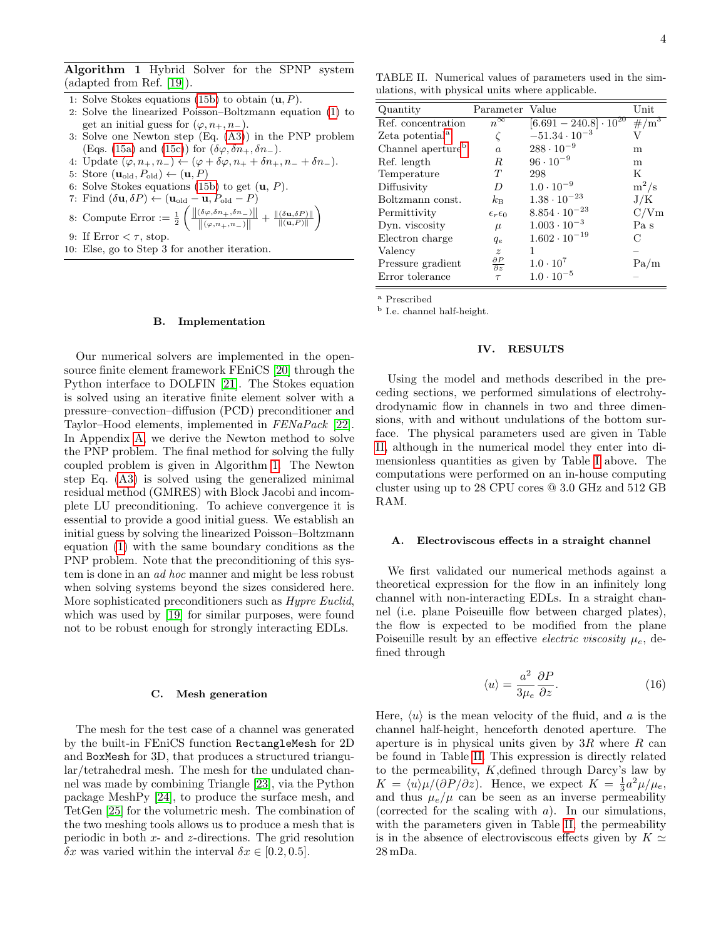Algorithm 1 Hybrid Solver for the SPNP system (adapted from Ref. [\[19\]](#page-11-6)).

- <span id="page-3-1"></span>1: Solve Stokes equations [\(15b\)](#page-2-7) to obtain  $(\mathbf{u}, P)$ .
- 2: Solve the linearized Poisson–Boltzmann equation [\(1\)](#page-0-1) to get an initial guess for  $(\varphi, n_+, n_-)$ .
- 3: Solve one Newton step (Eq. [\(A3\)](#page-8-1)) in the PNP problem (Eqs. [\(15a\)](#page-2-8) and [\(15c\)](#page-2-9)) for  $(\delta\varphi, \delta n_+, \delta n_-)$ .
- 4: Update  $(\varphi, n_+, n_-) \leftarrow (\varphi + \delta \varphi, n_+ + \delta n_+, n_- + \delta n_-).$
- 5: Store  $(\mathbf{u}_{\text{old}}, P_{\text{old}}) \leftarrow (\mathbf{u}, P)$
- 6: Solve Stokes equations [\(15b\)](#page-2-7) to get  $(\mathbf{u}, P)$ .
- 7: Find  $(\delta \mathbf{u}, \delta P) \leftarrow (\mathbf{u}_{old} \mathbf{u}, P_{old} P)$

8: Compute Error := 
$$
\frac{1}{2} \left( \frac{\left\| (\delta \varphi, \delta n_+, \delta n_-) \right\|}{\left\| (\varphi, n_+, n_-) \right\|} + \frac{\left\| (\delta \mathbf{u}, \delta P) \right\|}{\left\| (\mathbf{u}, P) \right\|} \right)
$$

9: If Error  $\langle \tau, \text{stop.} \rangle$ 

10: Else, go to Step 3 for another iteration.

#### B. Implementation

Our numerical solvers are implemented in the opensource finite element framework FEniCS [\[20\]](#page-11-7) through the Python interface to DOLFIN [\[21\]](#page-11-8). The Stokes equation is solved using an iterative finite element solver with a pressure–convection–diffusion (PCD) preconditioner and Taylor–Hood elements, implemented in FENaPack [\[22\]](#page-11-9). In Appendix [A,](#page-8-2) we derive the Newton method to solve the PNP problem. The final method for solving the fully coupled problem is given in Algorithm [1.](#page-3-1) The Newton step Eq. [\(A3\)](#page-8-1) is solved using the generalized minimal residual method (GMRES) with Block Jacobi and incomplete LU preconditioning. To achieve convergence it is essential to provide a good initial guess. We establish an initial guess by solving the linearized Poisson–Boltzmann equation [\(1\)](#page-0-1) with the same boundary conditions as the PNP problem. Note that the preconditioning of this system is done in an ad hoc manner and might be less robust when solving systems beyond the sizes considered here. More sophisticated preconditioners such as Hypre Euclid, which was used by [\[19\]](#page-11-6) for similar purposes, were found not to be robust enough for strongly interacting EDLs.

#### C. Mesh generation

The mesh for the test case of a channel was generated by the built-in FEniCS function RectangleMesh for 2D and BoxMesh for 3D, that produces a structured triangular/tetrahedral mesh. The mesh for the undulated channel was made by combining Triangle [\[23\]](#page-11-10), via the Python package MeshPy [\[24\]](#page-11-11), to produce the surface mesh, and TetGen [\[25\]](#page-11-12) for the volumetric mesh. The combination of the two meshing tools allows us to produce a mesh that is periodic in both  $x$ - and  $z$ -directions. The grid resolution  $\delta x$  was varied within the interval  $\delta x \in [0.2, 0.5]$ .

<span id="page-3-4"></span>TABLE II. Numerical values of parameters used in the simulations, with physical units where applicable.

| Quantity                      | Parameter Value                 |                                 | Unit                |
|-------------------------------|---------------------------------|---------------------------------|---------------------|
| Ref. concentration            | $n^{\infty}$                    | $[6.691 - 240.8] \cdot 10^{20}$ | $\#/\overline{m}^3$ |
| Zeta potential <sup>a</sup>   | ζ                               | $-51.34 \cdot 10^{-3}$          | V                   |
| Channel aperture <sup>b</sup> | $\alpha$                        | $288 \cdot 10^{-9}$             | m                   |
| Ref. length                   | R.                              | $96 \cdot 10^{-9}$              | m                   |
| Temperature                   | T                               | 298                             | K                   |
| Diffusivity                   | D                               | $1.0 \cdot 10^{-9}$             | $m^2/s$             |
| Boltzmann const.              | $k_{\rm B}$                     | $1.38 \cdot 10^{-23}$           | J/K                 |
| Permittivity                  | $\epsilon_r \epsilon_0$         | $8.854 \cdot 10^{-23}$          | C/Vm                |
| Dyn. viscosity                | $\mu$                           | $1.003 \cdot 10^{-3}$           | Pa <sub>s</sub>     |
| Electron charge               | $q_e$                           | $1.602 \cdot 10^{-19}$          | C                   |
| Valency                       | $\tilde{z}$                     |                                 |                     |
| Pressure gradient             | $\frac{\partial P}{\partial z}$ | $1.0 \cdot 10^{7}$              | Pa/m                |
| Error tolerance               | $\tau$                          | $1.0 \cdot 10^{-5}$             |                     |

<span id="page-3-2"></span><sup>a</sup> Prescribed

<span id="page-3-3"></span> $^{\rm b}$  I.e. channel half-height.

#### <span id="page-3-0"></span>IV. RESULTS

Using the model and methods described in the preceding sections, we performed simulations of electrohydrodynamic flow in channels in two and three dimensions, with and without undulations of the bottom surface. The physical parameters used are given in Table [II,](#page-3-4) although in the numerical model they enter into dimensionless quantities as given by Table [I](#page-2-1) above. The computations were performed on an in-house computing cluster using up to 28 CPU cores @ 3.0 GHz and 512 GB RAM.

#### <span id="page-3-5"></span>A. Electroviscous effects in a straight channel

We first validated our numerical methods against a theoretical expression for the flow in an infinitely long channel with non-interacting EDLs. In a straight channel (i.e. plane Poiseuille flow between charged plates), the flow is expected to be modified from the plane Poiseuille result by an effective *electric viscosity*  $\mu_e$ , defined through

$$
\langle u \rangle = \frac{a^2}{3\mu_e} \frac{\partial P}{\partial z}.
$$
 (16)

Here,  $\langle u \rangle$  is the mean velocity of the fluid, and a is the channel half-height, henceforth denoted aperture. The aperture is in physical units given by  $3R$  where R can be found in Table [II.](#page-3-4) This expression is directly related to the permeability,  $K$ , defined through Darcy's law by  $K = \langle u \rangle \mu / (\partial P / \partial z)$ . Hence, we expect  $K = \frac{1}{3} a^2 \mu / \mu_e$ , and thus  $\mu_e/\mu$  can be seen as an inverse permeability (corrected for the scaling with  $a$ ). In our simulations, with the parameters given in Table [II,](#page-3-4) the permeability is in the absence of electroviscous effects given by  $K \simeq$ 28 mDa.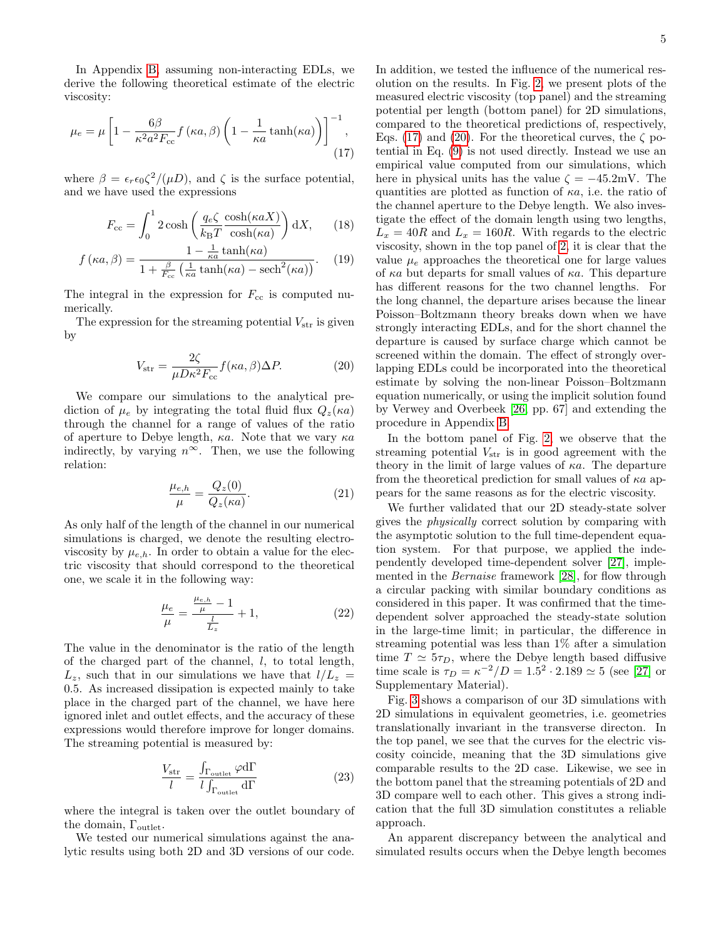In Appendix [B,](#page-8-3) assuming non-interacting EDLs, we derive the following theoretical estimate of the electric viscosity:

$$
\mu_e = \mu \left[ 1 - \frac{6\beta}{\kappa^2 a^2 F_{\rm cc}} f\left(\kappa a, \beta\right) \left( 1 - \frac{1}{\kappa a} \tanh(\kappa a) \right) \right]^{-1},\tag{17}
$$

where  $\beta = \epsilon_r \epsilon_0 \zeta^2/(\mu D)$ , and  $\zeta$  is the surface potential, and we have used the expressions

$$
F_{\rm cc} = \int_0^1 2 \cosh\left(\frac{q_e \zeta}{k_{\rm B}T} \frac{\cosh(\kappa a X)}{\cosh(\kappa a)}\right) dX,\qquad(18)
$$

$$
f\left(\kappa a,\beta\right) = \frac{1 - \frac{1}{\kappa a}\tanh(\kappa a)}{1 + \frac{\beta}{F_{cc}}\left(\frac{1}{\kappa a}\tanh(\kappa a) - \mathrm{sech}^2(\kappa a)\right)}.\tag{19}
$$

The integral in the expression for  $F_{cc}$  is computed numerically.

The expression for the streaming potential  $V_{\rm str}$  is given by

$$
V_{\rm str} = \frac{2\zeta}{\mu D \kappa^2 F_{\rm cc}} f(\kappa a, \beta) \Delta P. \tag{20}
$$

We compare our simulations to the analytical prediction of  $\mu_e$  by integrating the total fluid flux  $Q_z(\kappa a)$ through the channel for a range of values of the ratio of aperture to Debye length,  $\kappa a$ . Note that we vary  $\kappa a$ indirectly, by varying  $n^{\infty}$ . Then, we use the following relation:

$$
\frac{\mu_{e,h}}{\mu} = \frac{Q_z(0)}{Q_z(\kappa a)}.\tag{21}
$$

As only half of the length of the channel in our numerical simulations is charged, we denote the resulting electroviscosity by  $\mu_{e,h}$ . In order to obtain a value for the electric viscosity that should correspond to the theoretical one, we scale it in the following way:

$$
\frac{\mu_e}{\mu} = \frac{\frac{\mu_{e,h}}{\mu} - 1}{\frac{l}{L_z}} + 1,\tag{22}
$$

The value in the denominator is the ratio of the length of the charged part of the channel,  $l$ , to total length,  $L_z$ , such that in our simulations we have that  $l/L_z$  = 0.5. As increased dissipation is expected mainly to take place in the charged part of the channel, we have here ignored inlet and outlet effects, and the accuracy of these expressions would therefore improve for longer domains. The streaming potential is measured by:

$$
\frac{V_{\rm str}}{l} = \frac{\int_{\Gamma_{\rm outlet}} \varphi d\Gamma}{l \int_{\Gamma_{\rm outlet}} d\Gamma} \tag{23}
$$

where the integral is taken over the outlet boundary of the domain,  $\Gamma_{\text{outlet}}$ .

We tested our numerical simulations against the analytic results using both 2D and 3D versions of our code. <span id="page-4-0"></span>In addition, we tested the influence of the numerical resolution on the results. In Fig. [2,](#page-5-0) we present plots of the measured electric viscosity (top panel) and the streaming potential per length (bottom panel) for 2D simulations, compared to the theoretical predictions of, respectively, Eqs. [\(17\)](#page-4-0) and [\(20\)](#page-4-1). For the theoretical curves, the  $\zeta$  potential in Eq. [\(9\)](#page-2-10) is not used directly. Instead we use an empirical value computed from our simulations, which here in physical units has the value  $\zeta = -45.2 \text{mV}$ . The quantities are plotted as function of  $\kappa a$ , i.e. the ratio of the channel aperture to the Debye length. We also investigate the effect of the domain length using two lengths,  $L_x = 40R$  and  $L_x = 160R$ . With regards to the electric viscosity, shown in the top panel of [2,](#page-5-0) it is clear that the value  $\mu_e$  approaches the theoretical one for large values of  $\kappa a$  but departs for small values of  $\kappa a$ . This departure has different reasons for the two channel lengths. For the long channel, the departure arises because the linear Poisson–Boltzmann theory breaks down when we have strongly interacting EDLs, and for the short channel the departure is caused by surface charge which cannot be screened within the domain. The effect of strongly overlapping EDLs could be incorporated into the theoretical estimate by solving the non-linear Poisson–Boltzmann equation numerically, or using the implicit solution found by Verwey and Overbeek [\[26,](#page-11-13) pp. 67] and extending the procedure in Appendix [B.](#page-8-3)

<span id="page-4-1"></span>In the bottom panel of Fig. [2,](#page-5-0) we observe that the streaming potential  $V_{\text{str}}$  is in good agreement with the theory in the limit of large values of  $\kappa a$ . The departure from the theoretical prediction for small values of  $\kappa a$  appears for the same reasons as for the electric viscosity.

We further validated that our 2D steady-state solver gives the physically correct solution by comparing with the asymptotic solution to the full time-dependent equation system. For that purpose, we applied the independently developed time-dependent solver [\[27\]](#page-11-14), implemented in the Bernaise framework [\[28\]](#page-11-15), for flow through a circular packing with similar boundary conditions as considered in this paper. It was confirmed that the timedependent solver approached the steady-state solution in the large-time limit; in particular, the difference in streaming potential was less than 1% after a simulation time  $T \simeq 5\tau_D$ , where the Debye length based diffusive time scale is  $\tau_D = \kappa^{-2}/D = 1.5^2 \cdot 2.189 \simeq 5$  (see [\[27\]](#page-11-14) or Supplementary Material).

<span id="page-4-2"></span>Fig. [3](#page-5-1) shows a comparison of our 3D simulations with 2D simulations in equivalent geometries, i.e. geometries translationally invariant in the transverse directon. In the top panel, we see that the curves for the electric viscosity coincide, meaning that the 3D simulations give comparable results to the 2D case. Likewise, we see in the bottom panel that the streaming potentials of 2D and 3D compare well to each other. This gives a strong indication that the full 3D simulation constitutes a reliable approach.

An apparent discrepancy between the analytical and simulated results occurs when the Debye length becomes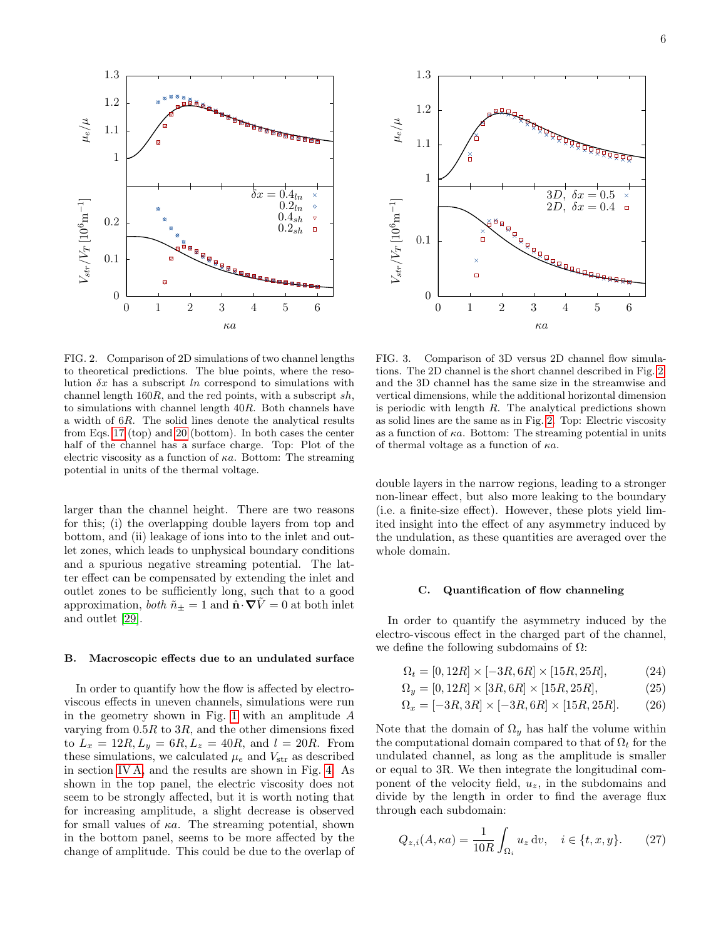



<span id="page-5-0"></span>FIG. 2. Comparison of 2D simulations of two channel lengths to theoretical predictions. The blue points, where the resolution  $\delta x$  has a subscript ln correspond to simulations with channel length  $160R$ , and the red points, with a subscript  $sh$ , to simulations with channel length 40R. Both channels have a width of 6R. The solid lines denote the analytical results from Eqs. [17](#page-4-0) (top) and [20](#page-4-1) (bottom). In both cases the center half of the channel has a surface charge. Top: Plot of the electric viscosity as a function of  $\kappa a$ . Bottom: The streaming potential in units of the thermal voltage.

larger than the channel height. There are two reasons for this; (i) the overlapping double layers from top and bottom, and (ii) leakage of ions into to the inlet and outlet zones, which leads to unphysical boundary conditions and a spurious negative streaming potential. The latter effect can be compensated by extending the inlet and outlet zones to be sufficiently long, such that to a good approximation, both  $\tilde{n}_{\pm} = 1$  and  $\hat{\mathbf{n}} \cdot \nabla \tilde{V} = 0$  at both inlet and outlet [\[29\]](#page-11-16).

#### B. Macroscopic effects due to an undulated surface

In order to quantify how the flow is affected by electroviscous effects in uneven channels, simulations were run in the geometry shown in Fig. [1](#page-1-1) with an amplitude A varying from  $0.5R$  to  $3R$ , and the other dimensions fixed to  $L_x = 12R, L_y = 6R, L_z = 40R, \text{ and } l = 20R.$  From these simulations, we calculated  $\mu_e$  and  $V_{\text{str}}$  as described in section [IV A,](#page-3-5) and the results are shown in Fig. [4.](#page-6-0) As shown in the top panel, the electric viscosity does not seem to be strongly affected, but it is worth noting that for increasing amplitude, a slight decrease is observed for small values of  $\kappa a$ . The streaming potential, shown in the bottom panel, seems to be more affected by the change of amplitude. This could be due to the overlap of

<span id="page-5-1"></span>FIG. 3. Comparison of 3D versus 2D channel flow simulations. The 2D channel is the short channel described in Fig. [2,](#page-5-0) and the 3D channel has the same size in the streamwise and vertical dimensions, while the additional horizontal dimension is periodic with length  $R$ . The analytical predictions shown as solid lines are the same as in Fig. [2.](#page-5-0) Top: Electric viscosity as a function of  $\kappa a$ . Bottom: The streaming potential in units of thermal voltage as a function of  $\kappa a$ .

double layers in the narrow regions, leading to a stronger non-linear effect, but also more leaking to the boundary (i.e. a finite-size effect). However, these plots yield limited insight into the effect of any asymmetry induced by the undulation, as these quantities are averaged over the whole domain.

## C. Quantification of flow channeling

In order to quantify the asymmetry induced by the electro-viscous effect in the charged part of the channel, we define the following subdomains of  $\Omega$ :

$$
\Omega_t = [0, 12R] \times [-3R, 6R] \times [15R, 25R], \tag{24}
$$

$$
\Omega_y = [0, 12R] \times [3R, 6R] \times [15R, 25R],\tag{25}
$$

$$
\Omega_x = [-3R, 3R] \times [-3R, 6R] \times [15R, 25R]. \tag{26}
$$

Note that the domain of  $\Omega_y$  has half the volume within the computational domain compared to that of  $\Omega_t$  for the undulated channel, as long as the amplitude is smaller or equal to 3R. We then integrate the longitudinal component of the velocity field,  $u_z$ , in the subdomains and divide by the length in order to find the average flux through each subdomain:

<span id="page-5-2"></span>
$$
Q_{z,i}(A, \kappa a) = \frac{1}{10R} \int_{\Omega_i} u_z \, \mathrm{d}v, \quad i \in \{t, x, y\}. \tag{27}
$$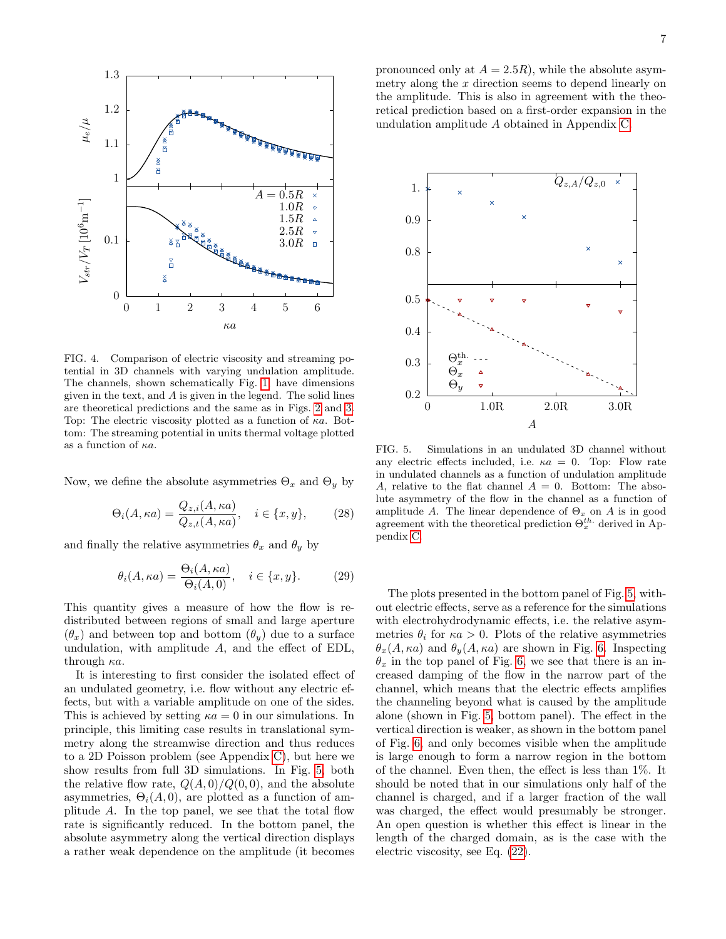

<span id="page-6-0"></span>FIG. 4. Comparison of electric viscosity and streaming potential in 3D channels with varying undulation amplitude. The channels, shown schematically Fig. [1,](#page-1-1) have dimensions given in the text, and  $A$  is given in the legend. The solid lines are theoretical predictions and the same as in Figs. [2](#page-5-0) and [3.](#page-5-1) Top: The electric viscosity plotted as a function of  $\kappa a$ . Bottom: The streaming potential in units thermal voltage plotted as a function of  $\kappa a$ .

Now, we define the absolute asymmetries  $\Theta_x$  and  $\Theta_y$  by

$$
\Theta_i(A, \kappa a) = \frac{Q_{z,i}(A, \kappa a)}{Q_{z,t}(A, \kappa a)}, \quad i \in \{x, y\},\tag{28}
$$

and finally the relative asymmetries  $\theta_x$  and  $\theta_y$  by

$$
\theta_i(A, \kappa a) = \frac{\Theta_i(A, \kappa a)}{\Theta_i(A, 0)}, \quad i \in \{x, y\}.
$$
 (29)

This quantity gives a measure of how the flow is redistributed between regions of small and large aperture  $(\theta_x)$  and between top and bottom  $(\theta_y)$  due to a surface undulation, with amplitude A, and the effect of EDL, through  $\kappa a$ .

It is interesting to first consider the isolated effect of an undulated geometry, i.e. flow without any electric effects, but with a variable amplitude on one of the sides. This is achieved by setting  $\kappa a = 0$  in our simulations. In principle, this limiting case results in translational symmetry along the streamwise direction and thus reduces to a 2D Poisson problem (see Appendix [C\)](#page-10-11), but here we show results from full 3D simulations. In Fig. [5,](#page-6-1) both the relative flow rate,  $Q(A, 0)/Q(0, 0)$ , and the absolute asymmetries,  $\Theta_i(A, 0)$ , are plotted as a function of amplitude A. In the top panel, we see that the total flow rate is significantly reduced. In the bottom panel, the absolute asymmetry along the vertical direction displays a rather weak dependence on the amplitude (it becomes

pronounced only at  $A = 2.5R$ , while the absolute asymmetry along the  $x$  direction seems to depend linearly on the amplitude. This is also in agreement with the theoretical prediction based on a first-order expansion in the undulation amplitude A obtained in Appendix [C.](#page-10-11)



<span id="page-6-2"></span><span id="page-6-1"></span>FIG. 5. Simulations in an undulated 3D channel without any electric effects included, i.e.  $\kappa a = 0$ . Top: Flow rate in undulated channels as a function of undulation amplitude A, relative to the flat channel  $A = 0$ . Bottom: The absolute asymmetry of the flow in the channel as a function of amplitude A. The linear dependence of  $\Theta_x$  on A is in good agreement with the theoretical prediction  $\Theta_x^{th.}$  derived in Appendix [C.](#page-10-11)

The plots presented in the bottom panel of Fig. [5,](#page-6-1) without electric effects, serve as a reference for the simulations with electrohydrodynamic effects, i.e. the relative asymmetries  $\theta_i$  for  $\kappa a > 0$ . Plots of the relative asymmetries  $\theta_x(A, \kappa a)$  and  $\theta_y(A, \kappa a)$  are shown in Fig. [6.](#page-7-1) Inspecting  $\theta_x$  in the top panel of Fig. [6,](#page-7-1) we see that there is an increased damping of the flow in the narrow part of the channel, which means that the electric effects amplifies the channeling beyond what is caused by the amplitude alone (shown in Fig. [5,](#page-6-1) bottom panel). The effect in the vertical direction is weaker, as shown in the bottom panel of Fig. [6,](#page-7-1) and only becomes visible when the amplitude is large enough to form a narrow region in the bottom of the channel. Even then, the effect is less than 1%. It should be noted that in our simulations only half of the channel is charged, and if a larger fraction of the wall was charged, the effect would presumably be stronger. An open question is whether this effect is linear in the length of the charged domain, as is the case with the electric viscosity, see Eq. [\(22\)](#page-4-2).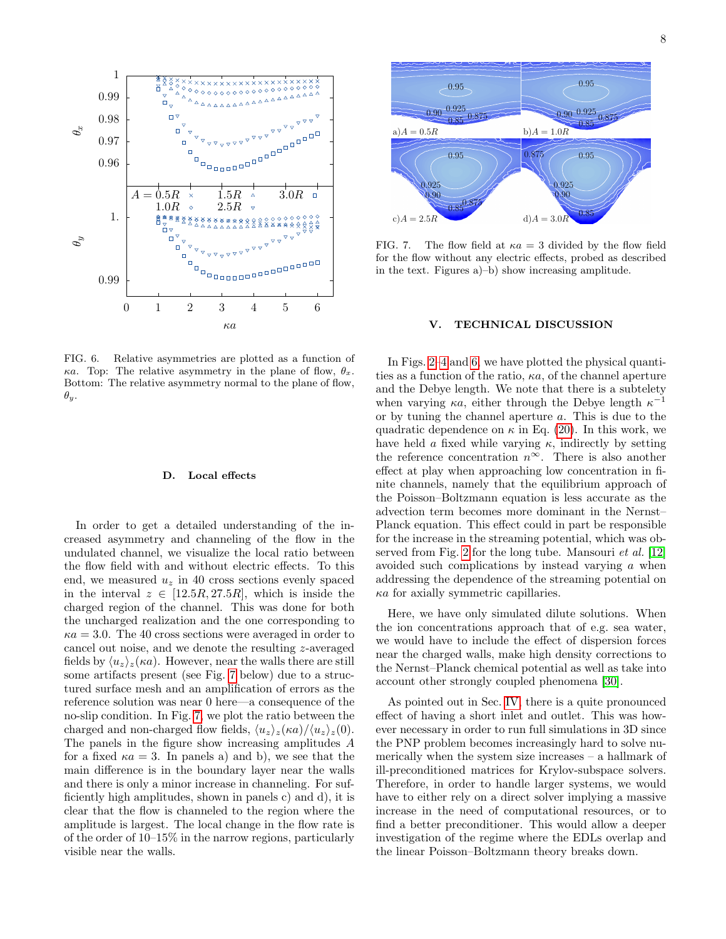

<span id="page-7-1"></span>FIG. 6. Relative asymmetries are plotted as a function of κa. Top: The relative asymmetry in the plane of flow,  $\theta_x$ . Bottom: The relative asymmetry normal to the plane of flow,  $\theta_y$ .

#### D. Local effects

In order to get a detailed understanding of the increased asymmetry and channeling of the flow in the undulated channel, we visualize the local ratio between the flow field with and without electric effects. To this end, we measured  $u<sub>z</sub>$  in 40 cross sections evenly spaced in the interval  $z \in [12.5R, 27.5R]$ , which is inside the charged region of the channel. This was done for both the uncharged realization and the one corresponding to  $\kappa a = 3.0$ . The 40 cross sections were averaged in order to cancel out noise, and we denote the resulting z-averaged fields by  $\langle u_z \rangle_z(\kappa a)$ . However, near the walls there are still some artifacts present (see Fig. [7](#page-7-2) below) due to a structured surface mesh and an amplification of errors as the reference solution was near 0 here—a consequence of the no-slip condition. In Fig. [7,](#page-7-2) we plot the ratio between the charged and non-charged flow fields,  $\langle u_z \rangle_z(\kappa a)/\langle u_z \rangle_z(0)$ . The panels in the figure show increasing amplitudes A for a fixed  $\kappa a = 3$ . In panels a) and b), we see that the main difference is in the boundary layer near the walls and there is only a minor increase in channeling. For sufficiently high amplitudes, shown in panels c) and d), it is clear that the flow is channeled to the region where the amplitude is largest. The local change in the flow rate is of the order of 10–15% in the narrow regions, particularly visible near the walls.



<span id="page-7-2"></span>FIG. 7. The flow field at  $\kappa a = 3$  divided by the flow field for the flow without any electric effects, probed as described in the text. Figures a)–b) show increasing amplitude.

## <span id="page-7-0"></span>V. TECHNICAL DISCUSSION

In Figs. [2–](#page-5-0)[4](#page-6-0) and [6,](#page-7-1) we have plotted the physical quantities as a function of the ratio,  $\kappa a$ , of the channel aperture and the Debye length. We note that there is a subtelety when varying  $\kappa a$ , either through the Debye length  $\kappa^{-1}$ or by tuning the channel aperture a. This is due to the quadratic dependence on  $\kappa$  in Eq. [\(20\)](#page-4-1). In this work, we have held a fixed while varying  $\kappa$ , indirectly by setting the reference concentration  $n^{\infty}$ . There is also another effect at play when approaching low concentration in finite channels, namely that the equilibrium approach of the Poisson–Boltzmann equation is less accurate as the advection term becomes more dominant in the Nernst– Planck equation. This effect could in part be responsible for the increase in the streaming potential, which was observed from Fig. [2](#page-5-0) for the long tube. Mansouri et al. [\[12\]](#page-10-10) avoided such complications by instead varying  $\alpha$  when addressing the dependence of the streaming potential on  $\kappa a$  for axially symmetric capillaries.

Here, we have only simulated dilute solutions. When the ion concentrations approach that of e.g. sea water, we would have to include the effect of dispersion forces near the charged walls, make high density corrections to the Nernst–Planck chemical potential as well as take into account other strongly coupled phenomena [\[30\]](#page-11-17).

As pointed out in Sec. [IV,](#page-3-0) there is a quite pronounced effect of having a short inlet and outlet. This was however necessary in order to run full simulations in 3D since the PNP problem becomes increasingly hard to solve numerically when the system size increases – a hallmark of ill-preconditioned matrices for Krylov-subspace solvers. Therefore, in order to handle larger systems, we would have to either rely on a direct solver implying a massive increase in the need of computational resources, or to find a better preconditioner. This would allow a deeper investigation of the regime where the EDLs overlap and the linear Poisson–Boltzmann theory breaks down.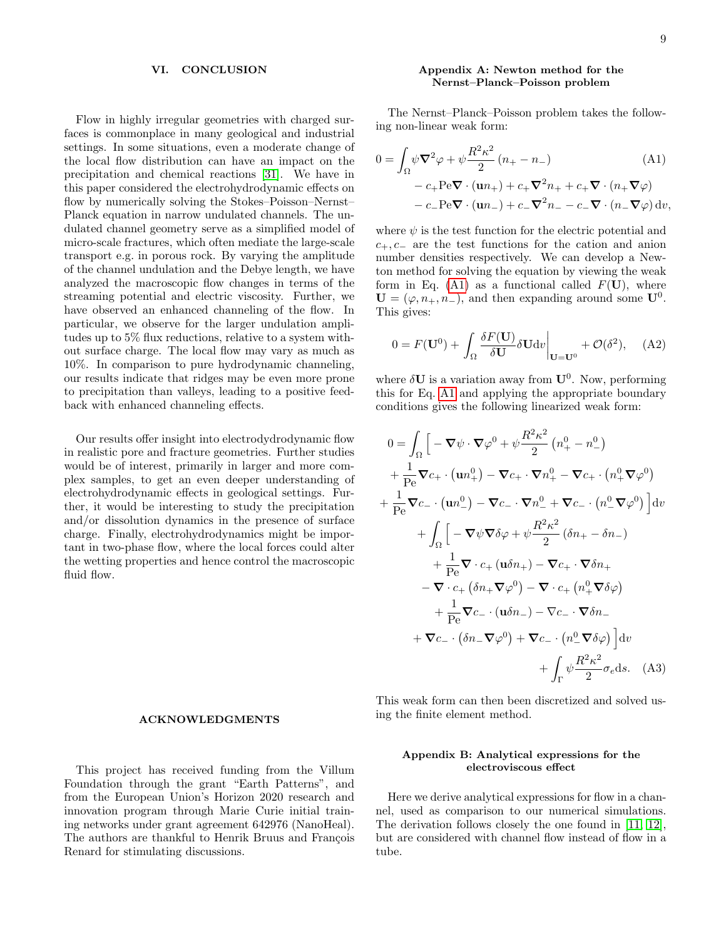## <span id="page-8-0"></span>VI. CONCLUSION

Flow in highly irregular geometries with charged surfaces is commonplace in many geological and industrial settings. In some situations, even a moderate change of the local flow distribution can have an impact on the precipitation and chemical reactions [\[31\]](#page-11-18). We have in this paper considered the electrohydrodynamic effects on flow by numerically solving the Stokes–Poisson–Nernst– Planck equation in narrow undulated channels. The undulated channel geometry serve as a simplified model of micro-scale fractures, which often mediate the large-scale transport e.g. in porous rock. By varying the amplitude of the channel undulation and the Debye length, we have analyzed the macroscopic flow changes in terms of the streaming potential and electric viscosity. Further, we have observed an enhanced channeling of the flow. In particular, we observe for the larger undulation amplitudes up to 5% flux reductions, relative to a system without surface charge. The local flow may vary as much as 10%. In comparison to pure hydrodynamic channeling, our results indicate that ridges may be even more prone to precipitation than valleys, leading to a positive feedback with enhanced channeling effects.

Our results offer insight into electrodydrodynamic flow in realistic pore and fracture geometries. Further studies would be of interest, primarily in larger and more complex samples, to get an even deeper understanding of electrohydrodynamic effects in geological settings. Further, it would be interesting to study the precipitation and/or dissolution dynamics in the presence of surface charge. Finally, electrohydrodynamics might be important in two-phase flow, where the local forces could alter the wetting properties and hence control the macroscopic fluid flow.

#### ACKNOWLEDGMENTS

This project has received funding from the Villum Foundation through the grant "Earth Patterns", and from the European Union's Horizon 2020 research and innovation program through Marie Curie initial training networks under grant agreement 642976 (NanoHeal). The authors are thankful to Henrik Bruus and François Renard for stimulating discussions.

## <span id="page-8-4"></span><span id="page-8-2"></span>Appendix A: Newton method for the Nernst–Planck–Poisson problem

The Nernst–Planck–Poisson problem takes the following non-linear weak form:

$$
0 = \int_{\Omega} \psi \nabla^2 \varphi + \psi \frac{R^2 \kappa^2}{2} (n_+ - n_-) \tag{A1}
$$
  
- c<sub>+</sub>Pe $\nabla \cdot (\mathbf{u}n_+) + c_+ \nabla^2 n_+ + c_+ \nabla \cdot (n_+ \nabla \varphi)$   
- c<sub>-</sub>Pe $\nabla \cdot (\mathbf{u}n_-) + c_- \nabla^2 n_- - c_- \nabla \cdot (n_- \nabla \varphi) dv,$ 

where  $\psi$  is the test function for the electric potential and  $c_{+}, c_{-}$  are the test functions for the cation and anion number densities respectively. We can develop a Newton method for solving the equation by viewing the weak form in Eq. [\(A1\)](#page-8-4) as a functional called  $F(\mathbf{U})$ , where  $\mathbf{U} = (\varphi, n_+, n_-),$  and then expanding around some  $\mathbf{U}^0$ . This gives:

$$
0 = F(\mathbf{U}^0) + \int_{\Omega} \frac{\delta F(\mathbf{U})}{\delta \mathbf{U}} \delta \mathbf{U} \mathrm{d}v \bigg|_{\mathbf{U} = \mathbf{U}^0} + \mathcal{O}(\delta^2), \quad \text{(A2)}
$$

where  $\delta U$  is a variation away from  $U^0$ . Now, performing this for Eq. [A1](#page-8-4) and applying the appropriate boundary conditions gives the following linearized weak form:

$$
0 = \int_{\Omega} \left[ -\nabla \psi \cdot \nabla \varphi^{0} + \psi \frac{R^{2} \kappa^{2}}{2} \left( n_{+}^{0} - n_{-}^{0} \right) \right. \\ \left. + \frac{1}{\text{Pe}} \nabla c_{+} \cdot \left( \mathbf{u} n_{+}^{0} \right) - \nabla c_{+} \cdot \nabla n_{+}^{0} - \nabla c_{+} \cdot \left( n_{+}^{0} \nabla \varphi^{0} \right) \right] \mathrm{d}v \\ \left. + \frac{1}{\text{Pe}} \nabla c_{-} \cdot \left( \mathbf{u} n_{-}^{0} \right) - \nabla c_{-} \cdot \nabla n_{-}^{0} + \nabla c_{-} \cdot \left( n_{-}^{0} \nabla \varphi^{0} \right) \right] \mathrm{d}v \\ \left. + \int_{\Omega} \left[ -\nabla \psi \nabla \delta \varphi + \psi \frac{R^{2} \kappa^{2}}{2} \left( \delta n_{+} - \delta n_{-} \right) \right. \\ \left. + \frac{1}{\text{Pe}} \nabla \cdot c_{+} \left( \mathbf{u} \delta n_{+} \right) - \nabla c_{+} \cdot \nabla \delta n_{+} \right. \\ \left. - \nabla \cdot c_{+} \left( \delta n_{+} \nabla \varphi^{0} \right) - \nabla \cdot c_{+} \left( n_{+}^{0} \nabla \delta \varphi \right) \right. \\ \left. + \frac{1}{\text{Pe}} \nabla c_{-} \cdot \left( \mathbf{u} \delta n_{-} \right) - \nabla c_{-} \cdot \nabla \delta n_{-} \right. \\ \left. + \nabla c_{-} \cdot \left( \delta n_{-} \nabla \varphi^{0} \right) + \nabla c_{-} \cdot \left( n_{-}^{0} \nabla \delta \varphi \right) \right] \mathrm{d}v \\ \left. + \int_{\Gamma} \psi \frac{R^{2} \kappa^{2}}{2} \sigma_{e} \mathrm{d}s. \quad \text{(A3)}
$$

This weak form can then been discretized and solved using the finite element method.

## <span id="page-8-3"></span><span id="page-8-1"></span>Appendix B: Analytical expressions for the electroviscous effect

Here we derive analytical expressions for flow in a channel, used as comparison to our numerical simulations. The derivation follows closely the one found in [\[11,](#page-10-9) [12\]](#page-10-10), but are considered with channel flow instead of flow in a tube.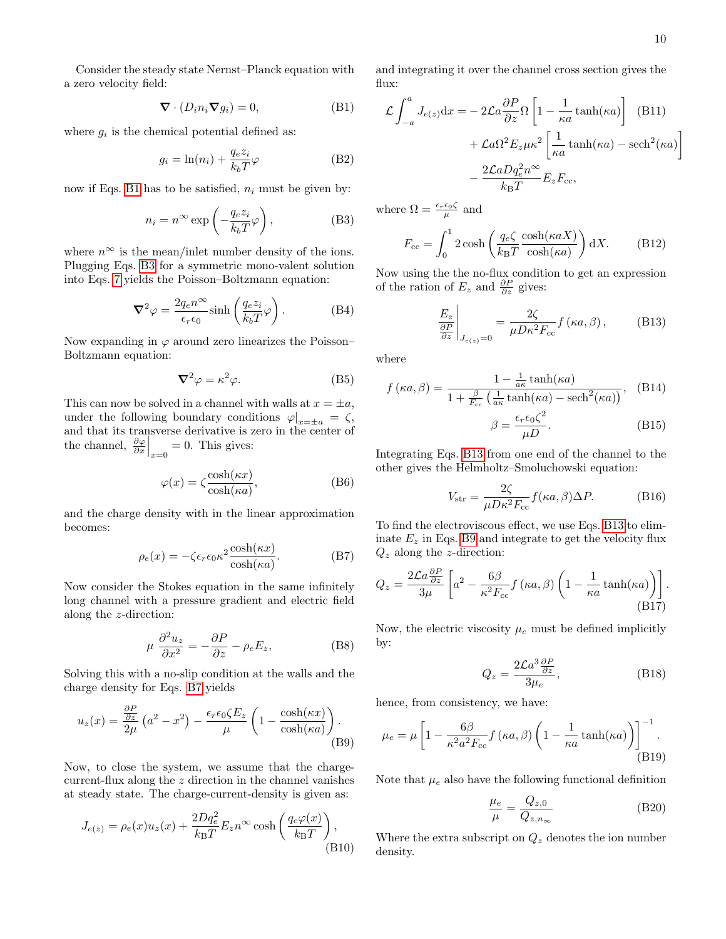Consider the steady state Nernst–Planck equation with a zero velocity field:

$$
\nabla \cdot (D_i n_i \nabla g_i) = 0,\tag{B1}
$$

where  $g_i$  is the chemical potential defined as:

$$
g_i = \ln(n_i) + \frac{q_e z_i}{k_b T} \varphi \tag{B2}
$$

now if Eqs. [B1](#page-9-0) has to be satisfied,  $n_i$  must be given by:

$$
n_i = n^{\infty} \exp\left(-\frac{q_e z_i}{k_b T} \varphi\right),\tag{B3}
$$

where  $n^{\infty}$  is the mean/inlet number density of the ions. Plugging Eqs. [B3](#page-9-1) for a symmetric mono-valent solution into Eqs. [7](#page-1-3) yields the Poisson–Boltzmann equation:

$$
\nabla^2 \varphi = \frac{2q_e n^{\infty}}{\epsilon_r \epsilon_0} \sinh\left(\frac{q_e z_i}{k_b T} \varphi\right). \tag{B4}
$$

Now expanding in  $\varphi$  around zero linearizes the Poisson– Boltzmann equation:

$$
\nabla^2 \varphi = \kappa^2 \varphi. \tag{B5}
$$

This can now be solved in a channel with walls at  $x = \pm a$ , under the following boundary conditions  $\varphi|_{x=\pm a} = \zeta$ , and that its transverse derivative is zero in the center of the channel,  $\frac{\partial \varphi}{\partial x}\Big|_{x=0} = 0$ . This gives:

$$
\varphi(x) = \zeta \frac{\cosh(\kappa x)}{\cosh(\kappa a)},\tag{B6}
$$

and the charge density with in the linear approximation becomes:

$$
\rho_e(x) = -\zeta \epsilon_r \epsilon_0 \kappa^2 \frac{\cosh(\kappa x)}{\cosh(\kappa a)}.\tag{B7}
$$

Now consider the Stokes equation in the same infinitely long channel with a pressure gradient and electric field along the z-direction:

$$
\mu \frac{\partial^2 u_z}{\partial x^2} = -\frac{\partial P}{\partial z} - \rho_e E_z,\tag{B8}
$$

Solving this with a no-slip condition at the walls and the charge density for Eqs. [B7](#page-9-2) yields

$$
u_z(x) = \frac{\frac{\partial P}{\partial z}}{2\mu} \left( a^2 - x^2 \right) - \frac{\epsilon_r \epsilon_0 \zeta E_z}{\mu} \left( 1 - \frac{\cosh(\kappa x)}{\cosh(\kappa a)} \right). \tag{B9}
$$

Now, to close the system, we assume that the chargecurrent-flux along the z direction in the channel vanishes at steady state. The charge-current-density is given as:

$$
J_{e(z)} = \rho_e(x)u_z(x) + \frac{2Dq_e^2}{k_B T} E_z n^{\infty} \cosh\left(\frac{q_e\varphi(x)}{k_B T}\right),\tag{B10}
$$

<span id="page-9-0"></span>and integrating it over the channel cross section gives the flux:

$$
\mathcal{L} \int_{-a}^{a} J_{e(z)} dx = -2\mathcal{L}a \frac{\partial P}{\partial z} \Omega \left[ 1 - \frac{1}{\kappa a} \tanh(\kappa a) \right] \quad (B11)
$$

$$
+ \mathcal{L}a \Omega^{2} E_{z} \mu \kappa^{2} \left[ \frac{1}{\kappa a} \tanh(\kappa a) - \text{sech}^{2}(\kappa a) \right]
$$

$$
- \frac{2\mathcal{L}a D q_{e}^{2} n^{\infty}}{k_{\text{B}} T} E_{z} F_{\text{cc}},
$$

<span id="page-9-1"></span>where  $\Omega = \frac{\epsilon_r \epsilon_0 \zeta}{\mu}$  and

$$
F_{\rm cc} = \int_0^1 2 \cosh\left(\frac{q_e \zeta}{k_{\rm B}T} \frac{\cosh(\kappa a X)}{\cosh(\kappa a)}\right) dX.
$$
 (B12)

Now using the the no-flux condition to get an expression of the ration of  $E_z$  and  $\frac{\partial P}{\partial z}$  gives:

$$
\frac{E_z}{\frac{\partial P}{\partial z}}\bigg|_{J_{e(z)}=0} = \frac{2\zeta}{\mu D\kappa^2 F_{cc}} f\left(\kappa a, \beta\right),\tag{B13}
$$

where

$$
f(\kappa a, \beta) = \frac{1 - \frac{1}{a\kappa} \tanh(\kappa a)}{1 + \frac{\beta}{F_{cc}} \left(\frac{1}{a\kappa} \tanh(\kappa a) - \mathrm{sech}^2(\kappa a)\right)}, \quad \text{(B14)}
$$

<span id="page-9-3"></span>
$$
\beta = \frac{\epsilon_r \epsilon_0 \zeta^2}{\mu D}.
$$
 (B15)

Integrating Eqs. [B13](#page-9-3) from one end of the channel to the other gives the Helmholtz–Smoluchowski equation:

$$
V_{\rm str} = \frac{2\zeta}{\mu D \kappa^2 F_{\rm cc}} f(\kappa a, \beta) \Delta P. \tag{B16}
$$

<span id="page-9-2"></span>To find the electroviscous effect, we use Eqs. [B13](#page-9-3) to eliminate  $E_z$  in Eqs. [B9](#page-9-4) and integrate to get the velocity flux  $Q_z$  along the *z*-direction:

$$
Q_z = \frac{2\mathcal{L}a\frac{\partial P}{\partial z}}{3\mu} \left[ a^2 - \frac{6\beta}{\kappa^2 F_{\rm cc}} f\left(\kappa a, \beta\right) \left(1 - \frac{1}{\kappa a} \tanh(\kappa a)\right) \right].
$$
\n(B17)

Now, the electric viscosity  $\mu_e$  must be defined implicitly by:

$$
Q_z = \frac{2\mathcal{L}a^3 \frac{\partial P}{\partial z}}{3\mu_e},\tag{B18}
$$

hence, from consistency, we have:

<span id="page-9-4"></span>
$$
\mu_e = \mu \left[ 1 - \frac{6\beta}{\kappa^2 a^2 F_{\rm cc}} f(\kappa a, \beta) \left( 1 - \frac{1}{\kappa a} \tanh(\kappa a) \right) \right]^{-1} .
$$
\n(B19)

Note that  $\mu_e$  also have the following functional definition

$$
\frac{\mu_e}{\mu} = \frac{Q_{z,0}}{Q_{z,n_\infty}}\tag{B20}
$$

Where the extra subscript on  $Q_z$  denotes the ion number density.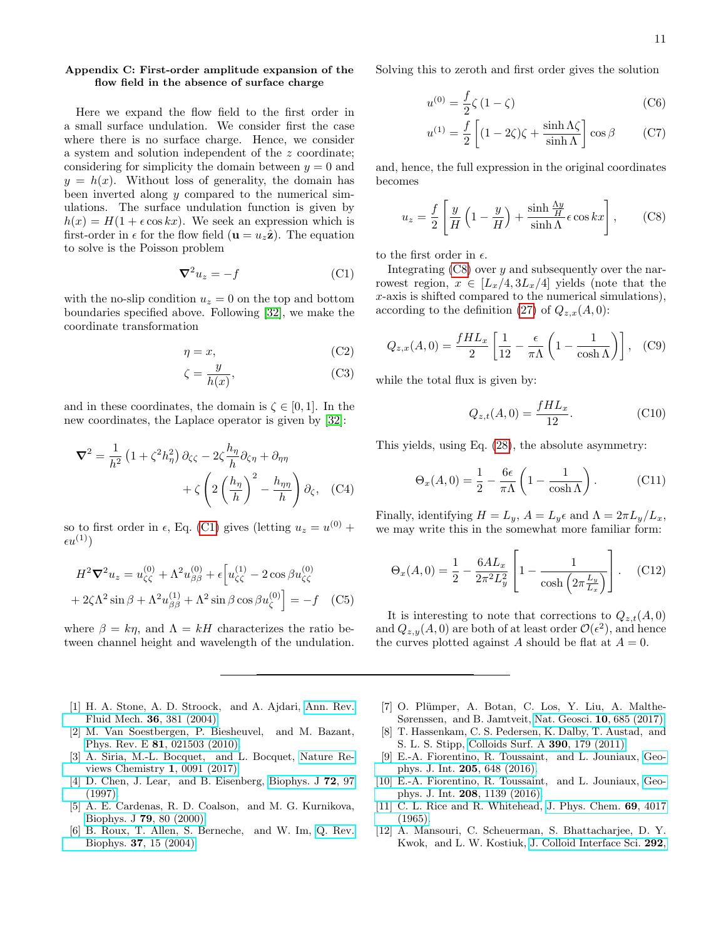# <span id="page-10-11"></span>Appendix C: First-order amplitude expansion of the flow field in the absence of surface charge

Here we expand the flow field to the first order in a small surface undulation. We consider first the case where there is no surface charge. Hence, we consider a system and solution independent of the z coordinate; considering for simplicity the domain between  $y = 0$  and  $y = h(x)$ . Without loss of generality, the domain has been inverted along  $y$  compared to the numerical simulations. The surface undulation function is given by  $h(x) = H(1 + \epsilon \cos kx)$ . We seek an expression which is first-order in  $\epsilon$  for the flow field  $(\mathbf{u} = u_z \hat{\mathbf{z}})$ . The equation to solve is the Poisson problem

<span id="page-10-12"></span>
$$
\nabla^2 u_z = -f \tag{C1}
$$

with the no-slip condition  $u_z = 0$  on the top and bottom boundaries specified above. Following [\[32\]](#page-11-19), we make the coordinate transformation

$$
\eta = x,\tag{C2}
$$

$$
\zeta = \frac{y}{h(x)},\tag{C3}
$$

and in these coordinates, the domain is  $\zeta \in [0, 1]$ . In the new coordinates, the Laplace operator is given by [\[32\]](#page-11-19):

$$
\nabla^2 = \frac{1}{h^2} \left( 1 + \zeta^2 h_\eta^2 \right) \partial_{\zeta\zeta} - 2\zeta \frac{h_\eta}{h} \partial_{\zeta\eta} + \partial_{\eta\eta} + \zeta \left( 2\left(\frac{h_\eta}{h}\right)^2 - \frac{h_{\eta\eta}}{h} \right) \partial_{\zeta}, \quad (C4)
$$

so to first order in  $\epsilon$ , Eq. [\(C1\)](#page-10-12) gives (letting  $u_z = u^{(0)} +$  $\epsilon u^{(1)}$ 

$$
H^{2}\nabla^{2} u_{z} = u_{\zeta\zeta}^{(0)} + \Lambda^{2} u_{\beta\beta}^{(0)} + \epsilon \Big[ u_{\zeta\zeta}^{(1)} - 2\cos\beta u_{\zeta\zeta}^{(0)} + 2\zeta\Lambda^{2} \sin\beta + \Lambda^{2} u_{\beta\beta}^{(1)} + \Lambda^{2} \sin\beta \cos\beta u_{\zeta}^{(0)} \Big] = -f \quad (C5)
$$

where  $\beta = k\eta$ , and  $\Lambda = kH$  characterizes the ratio between channel height and wavelength of the undulation.

- <span id="page-10-0"></span>[1] H. A. Stone, A. D. Stroock, and A. Ajdari, [Ann. Rev.](http://dx.doi.org/10.1146/annurev.fluid.36.050802.122124) Fluid Mech. 36[, 381 \(2004\).](http://dx.doi.org/10.1146/annurev.fluid.36.050802.122124)
- <span id="page-10-1"></span>[2] M. Van Soestbergen, P. Biesheuvel, and M. Bazant, Phys. Rev. E 81[, 021503 \(2010\).](http://dx.doi.org/10.1103/PhysRevE.81.021503)
- <span id="page-10-2"></span>[3] A. Siria, M.-L. Bocquet, and L. Bocquet, [Nature Re](http://dx.doi.org/10.1038/s41570-017-0091)[views Chemistry](http://dx.doi.org/10.1038/s41570-017-0091) 1, 0091 (2017).
- <span id="page-10-3"></span>[4] D. Chen, J. Lear, and B. Eisenberg, [Biophys. J](http://dx.doi.org/10.1016/S0006-3495(97)78650-8) 72, 97 [\(1997\).](http://dx.doi.org/10.1016/S0006-3495(97)78650-8)
- [5] A. E. Cardenas, R. D. Coalson, and M. G. Kurnikova, Biophys. J 79[, 80 \(2000\).](http://dx.doi.org/10.1016/S0006-3495(97)78650-8)
- <span id="page-10-4"></span>[6] B. Roux, T. Allen, S. Berneche, and W. Im, [Q. Rev.](http://dx.doi.org/ 10.1017/S0033583504003968) Biophys. 37[, 15 \(2004\).](http://dx.doi.org/ 10.1017/S0033583504003968)

Solving this to zeroth and first order gives the solution

$$
u^{(0)} = \frac{f}{2}\zeta(1-\zeta)
$$
 (C6)

$$
u^{(1)} = \frac{f}{2} \left[ (1 - 2\zeta)\zeta + \frac{\sinh \Lambda \zeta}{\sinh \Lambda} \right] \cos \beta \qquad (C7)
$$

and, hence, the full expression in the original coordinates becomes

<span id="page-10-13"></span>
$$
u_z = \frac{f}{2} \left[ \frac{y}{H} \left( 1 - \frac{y}{H} \right) + \frac{\sinh \frac{\Lambda y}{H}}{\sinh \Lambda} \epsilon \cos kx \right], \quad (C8)
$$

to the first order in  $\epsilon$ .

Integrating  $(C8)$  over y and subsequently over the narrowest region,  $x \in [L_x/4, 3L_x/4]$  yields (note that the x-axis is shifted compared to the numerical simulations), according to the definition [\(27\)](#page-5-2) of  $Q_{z,x}(A, 0)$ :

$$
Q_{z,x}(A,0) = \frac{fHL_x}{2} \left[ \frac{1}{12} - \frac{\epsilon}{\pi \Lambda} \left( 1 - \frac{1}{\cosh \Lambda} \right) \right], \quad (C9)
$$

while the total flux is given by:

$$
Q_{z,t}(A,0) = \frac{fHL_x}{12}.
$$
 (C10)

This yields, using Eq. [\(28\)](#page-6-2), the absolute asymmetry:

$$
\Theta_x(A,0) = \frac{1}{2} - \frac{6\epsilon}{\pi\Lambda} \left(1 - \frac{1}{\cosh\Lambda}\right). \tag{C11}
$$

Finally, identifying  $H = L_y$ ,  $A = L_y \epsilon$  and  $\Lambda = 2\pi L_y/L_x$ , we may write this in the somewhat more familiar form:

$$
\Theta_x(A,0) = \frac{1}{2} - \frac{6AL_x}{2\pi^2 L_y^2} \left[ 1 - \frac{1}{\cosh\left(2\pi \frac{L_y}{L_x}\right)} \right].
$$
 (C12)

It is interesting to note that corrections to  $Q_{z,t}(A, 0)$ and  $Q_{z,y}(A,0)$  are both of at least order  $\mathcal{O}(\epsilon^2)$ , and hence the curves plotted against A should be flat at  $A = 0$ .

- <span id="page-10-5"></span>[7] O. Plümper, A. Botan, C. Los, Y. Liu, A. Malthe-Sørenssen, and B. Jamtveit, [Nat. Geosci.](http://dx.doi.org/ 10.1038/ngeo3009) 10, 685 (2017).
- <span id="page-10-6"></span>[8] T. Hassenkam, C. S. Pedersen, K. Dalby, T. Austad, and S. L. S. Stipp, [Colloids Surf. A](http://dx.doi.org/ 10.1016/j.colsurfa.2011.09.025) 390, 179 (2011).
- <span id="page-10-7"></span>[9] E.-A. Fiorentino, R. Toussaint, and L. Jouniaux, [Geo](http://dx.doi.org/10.1093/gji/ggw041)phys. J. Int. 205[, 648 \(2016\).](http://dx.doi.org/10.1093/gji/ggw041)
- <span id="page-10-8"></span>[10] E.-A. Fiorentino, R. Toussaint, and L. Jouniaux, [Geo](http://dx.doi.org/10.1093/gji/ggw417)phys. J. Int. 208[, 1139 \(2016\).](http://dx.doi.org/10.1093/gji/ggw417)
- <span id="page-10-9"></span>[11] C. L. Rice and R. Whitehead, [J. Phys. Chem.](http://dx.doi.org/10.1021/j100895a062) 69, 4017 [\(1965\).](http://dx.doi.org/10.1021/j100895a062)
- <span id="page-10-10"></span>[12] A. Mansouri, C. Scheuerman, S. Bhattacharjee, D. Y. Kwok, and L. W. Kostiuk, [J. Colloid Interface Sci.](http://dx.doi.org/10.1016/j.jcis.2005.05.094) 292,